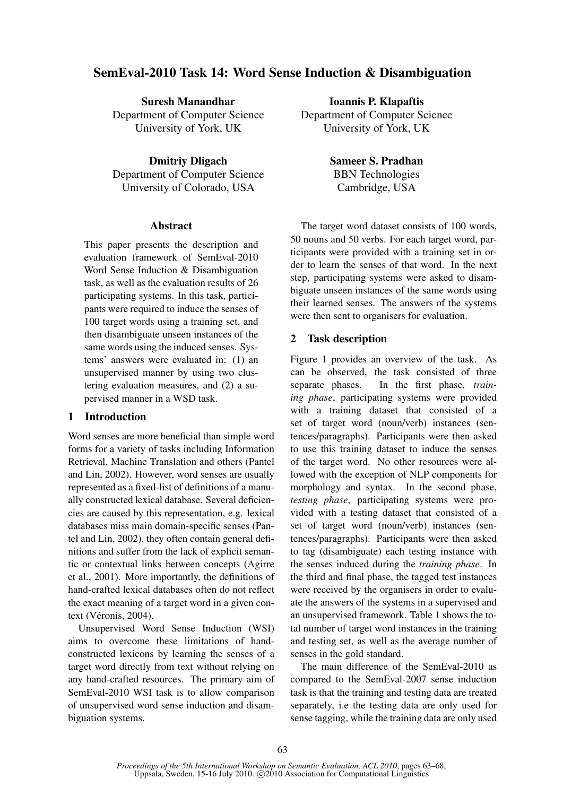# SemEval-2010 Task 14: Word Sense Induction & Disambiguation

Suresh Manandhar Department of Computer Science University of York, UK

Dmitriy Dligach Department of Computer Science University of Colorado, USA

# **Abstract**

This paper presents the description and evaluation framework of SemEval-2010 Word Sense Induction & Disambiguation task, as well as the evaluation results of 26 participating systems. In this task, participants were required to induce the senses of 100 target words using a training set, and then disambiguate unseen instances of the same words using the induced senses. Systems' answers were evaluated in: (1) an unsupervised manner by using two clustering evaluation measures, and (2) a supervised manner in a WSD task.

# 1 Introduction

Word senses are more beneficial than simple word forms for a variety of tasks including Information Retrieval, Machine Translation and others (Pantel and Lin, 2002). However, word senses are usually represented as a fixed-list of definitions of a manually constructed lexical database. Several deficiencies are caused by this representation, e.g. lexical databases miss main domain-specific senses (Pantel and Lin, 2002), they often contain general definitions and suffer from the lack of explicit semantic or contextual links between concepts (Agirre et al., 2001). More importantly, the definitions of hand-crafted lexical databases often do not reflect the exact meaning of a target word in a given context (Véronis, 2004).

Unsupervised Word Sense Induction (WSI) aims to overcome these limitations of handconstructed lexicons by learning the senses of a target word directly from text without relying on any hand-crafted resources. The primary aim of SemEval-2010 WSI task is to allow comparison of unsupervised word sense induction and disambiguation systems.

Ioannis P. Klapaftis Department of Computer Science University of York, UK

> Sameer S. Pradhan BBN Technologies Cambridge, USA

The target word dataset consists of 100 words, 50 nouns and 50 verbs. For each target word, participants were provided with a training set in order to learn the senses of that word. In the next step, participating systems were asked to disambiguate unseen instances of the same words using their learned senses. The answers of the systems were then sent to organisers for evaluation.

### 2 Task description

Figure 1 provides an overview of the task. As can be observed, the task consisted of three separate phases. In the first phase, *training phase*, participating systems were provided with a training dataset that consisted of a set of target word (noun/verb) instances (sentences/paragraphs). Participants were then asked to use this training dataset to induce the senses of the target word. No other resources were allowed with the exception of NLP components for morphology and syntax. In the second phase, *testing phase*, participating systems were provided with a testing dataset that consisted of a set of target word (noun/verb) instances (sentences/paragraphs). Participants were then asked to tag (disambiguate) each testing instance with the senses induced during the *training phase*. In the third and final phase, the tagged test instances were received by the organisers in order to evaluate the answers of the systems in a supervised and an unsupervised framework. Table 1 shows the total number of target word instances in the training and testing set, as well as the average number of senses in the gold standard.

The main difference of the SemEval-2010 as compared to the SemEval-2007 sense induction task is that the training and testing data are treated separately, i.e the testing data are only used for sense tagging, while the training data are only used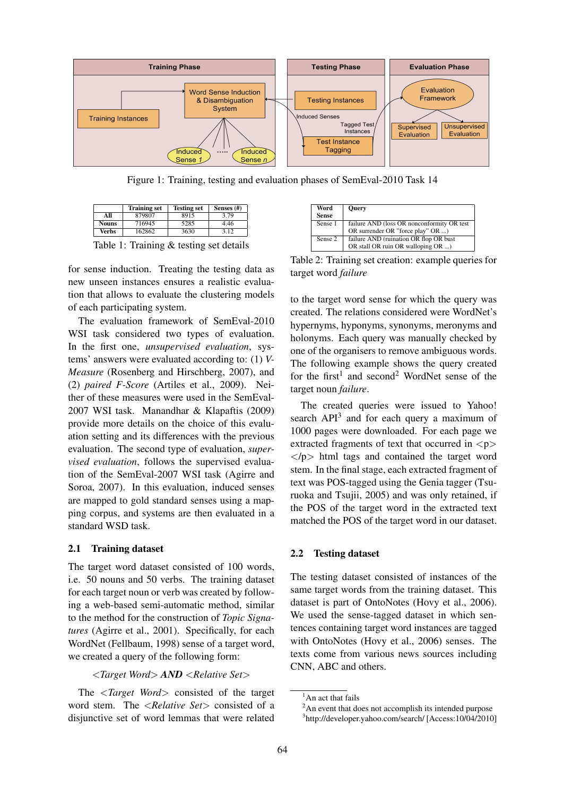

Figure 1: Training, testing and evaluation phases of SemEval-2010 Task 14

|              | <b>Training set</b> | <b>Testing set</b> | Senses (#) |
|--------------|---------------------|--------------------|------------|
| All          | 879807              | 8915               | 3.79       |
| <b>Nouns</b> | 716945              | 5285               | 4.46       |
| <b>Verbs</b> | 162862              | 3630               | 3.12       |

Table 1: Training & testing set details

for sense induction. Treating the testing data as new unseen instances ensures a realistic evaluation that allows to evaluate the clustering models of each participating system.

The evaluation framework of SemEval-2010 WSI task considered two types of evaluation. In the first one, *unsupervised evaluation*, systems' answers were evaluated according to: (1) *V-Measure* (Rosenberg and Hirschberg, 2007), and (2) *paired F-Score* (Artiles et al., 2009). Neither of these measures were used in the SemEval-2007 WSI task. Manandhar & Klapaftis (2009) provide more details on the choice of this evaluation setting and its differences with the previous evaluation. The second type of evaluation, *supervised evaluation*, follows the supervised evaluation of the SemEval-2007 WSI task (Agirre and Soroa, 2007). In this evaluation, induced senses are mapped to gold standard senses using a mapping corpus, and systems are then evaluated in a standard WSD task.

### 2.1 Training dataset

The target word dataset consisted of 100 words, i.e. 50 nouns and 50 verbs. The training dataset for each target noun or verb was created by following a web-based semi-automatic method, similar to the method for the construction of *Topic Signatures* (Agirre et al., 2001). Specifically, for each WordNet (Fellbaum, 1998) sense of a target word, we created a query of the following form:

<*Target Word*> *AND* <*Relative Set*>

The <*Target Word*> consisted of the target word stem. The <*Relative Set*> consisted of a disjunctive set of word lemmas that were related

| Word         | <b>Ouery</b>                                |
|--------------|---------------------------------------------|
| <b>Sense</b> |                                             |
| Sense 1      | failure AND (loss OR nonconformity OR test) |
|              | OR surrender OR "force play" OR )           |
| Sense 2      | failure AND (ruination OR flop OR bust      |
|              | OR stall OR ruin OR walloping OR )          |

Table 2: Training set creation: example queries for target word *failure*

to the target word sense for which the query was created. The relations considered were WordNet's hypernyms, hyponyms, synonyms, meronyms and holonyms. Each query was manually checked by one of the organisers to remove ambiguous words. The following example shows the query created for the first<sup>1</sup> and second<sup>2</sup> WordNet sense of the target noun *failure*.

The created queries were issued to Yahoo! search  $API<sup>3</sup>$  and for each query a maximum of 1000 pages were downloaded. For each page we extracted fragments of text that occurred in  $p$  $<$ /p $>$  html tags and contained the target word stem. In the final stage, each extracted fragment of text was POS-tagged using the Genia tagger (Tsuruoka and Tsujii, 2005) and was only retained, if the POS of the target word in the extracted text matched the POS of the target word in our dataset.

# 2.2 Testing dataset

The testing dataset consisted of instances of the same target words from the training dataset. This dataset is part of OntoNotes (Hovy et al., 2006). We used the sense-tagged dataset in which sentences containing target word instances are tagged with OntoNotes (Hovy et al., 2006) senses. The texts come from various news sources including CNN, ABC and others.

<sup>&</sup>lt;sup>1</sup>An act that fails

<sup>&</sup>lt;sup>2</sup>An event that does not accomplish its intended purpose

<sup>3</sup> http://developer.yahoo.com/search/ [Access:10/04/2010]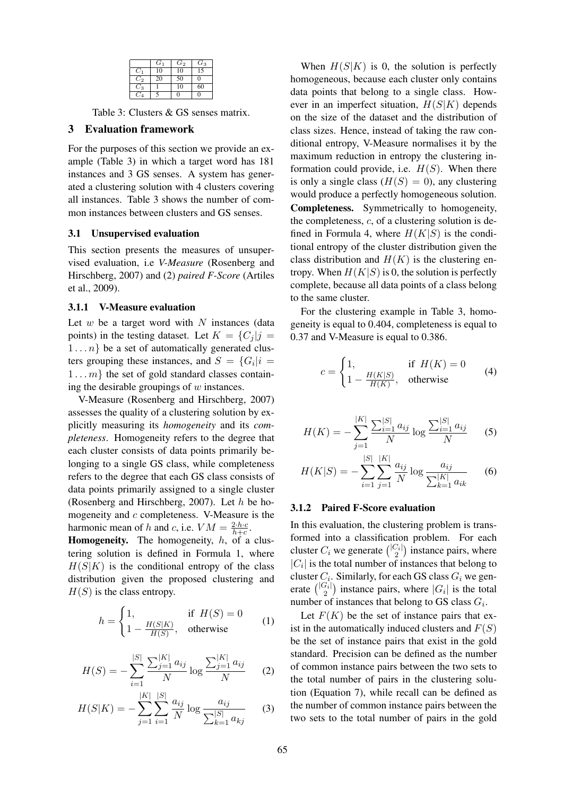|       | $G_1$ | $\scriptstyle{G_2}$ | $\scriptstyle G_3$ |
|-------|-------|---------------------|--------------------|
| $C_1$ | 10    | 10                  | $\overline{15}$    |
| $C_2$ | 20    | 50                  | 0                  |
| $C_3$ |       | 10                  | 60                 |
| Cл    |       | 0                   | п                  |

Table 3: Clusters & GS senses matrix.

### 3 Evaluation framework

For the purposes of this section we provide an example (Table 3) in which a target word has 181 instances and 3 GS senses. A system has generated a clustering solution with 4 clusters covering all instances. Table 3 shows the number of common instances between clusters and GS senses.

# 3.1 Unsupervised evaluation

This section presents the measures of unsupervised evaluation, i.e *V-Measure* (Rosenberg and Hirschberg, 2007) and (2) *paired F-Score* (Artiles et al., 2009).

### 3.1.1 V-Measure evaluation

Let  $w$  be a target word with  $N$  instances (data points) in the testing dataset. Let  $K = \{C_i | j =$  $1 \ldots n$  be a set of automatically generated clusters grouping these instances, and  $S = \{G_i | i = \}$  $1 \dots m$  the set of gold standard classes containing the desirable groupings of  $w$  instances.

V-Measure (Rosenberg and Hirschberg, 2007) assesses the quality of a clustering solution by explicitly measuring its *homogeneity* and its *completeness*. Homogeneity refers to the degree that each cluster consists of data points primarily belonging to a single GS class, while completeness refers to the degree that each GS class consists of data points primarily assigned to a single cluster (Rosenberg and Hirschberg, 2007). Let  $h$  be homogeneity and  $c$  completeness. V-Measure is the harmonic mean of h and c, i.e.  $VM = \frac{2 \cdot h \cdot c}{h + c}$ .

**Homogeneity.** The homogeneity,  $h$ , of a clustering solution is defined in Formula 1, where  $H(S|K)$  is the conditional entropy of the class distribution given the proposed clustering and  $H(S)$  is the class entropy.

$$
h = \begin{cases} 1, & \text{if } H(S) = 0\\ 1 - \frac{H(S|K)}{H(S)}, & \text{otherwise} \end{cases}
$$
 (1)

$$
H(S) = -\sum_{i=1}^{|S|} \frac{\sum_{j=1}^{|K|} a_{ij}}{N} \log \frac{\sum_{j=1}^{|K|} a_{ij}}{N}
$$
 (2)

$$
H(S|K) = -\sum_{j=1}^{|K|} \sum_{i=1}^{|S|} \frac{a_{ij}}{N} \log \frac{a_{ij}}{\sum_{k=1}^{|S|} a_{kj}} \qquad (3)
$$

When  $H(S|K)$  is 0, the solution is perfectly homogeneous, because each cluster only contains data points that belong to a single class. However in an imperfect situation,  $H(S|K)$  depends on the size of the dataset and the distribution of class sizes. Hence, instead of taking the raw conditional entropy, V-Measure normalises it by the maximum reduction in entropy the clustering information could provide, i.e.  $H(S)$ . When there is only a single class  $(H(S) = 0)$ , any clustering would produce a perfectly homogeneous solution. Completeness. Symmetrically to homogeneity, the completeness,  $c$ , of a clustering solution is defined in Formula 4, where  $H(K|S)$  is the conditional entropy of the cluster distribution given the class distribution and  $H(K)$  is the clustering entropy. When  $H(K|S)$  is 0, the solution is perfectly complete, because all data points of a class belong to the same cluster.

For the clustering example in Table 3, homogeneity is equal to 0.404, completeness is equal to 0.37 and V-Measure is equal to 0.386.

$$
c = \begin{cases} 1, & \text{if } H(K) = 0\\ 1 - \frac{H(K|S)}{H(K)}, & \text{otherwise} \end{cases}
$$
(4)

$$
H(K) = -\sum_{j=1}^{|K|} \frac{\sum_{i=1}^{|S|} a_{ij}}{N} \log \frac{\sum_{i=1}^{|S|} a_{ij}}{N}
$$
 (5)

$$
H(K|S) = -\sum_{i=1}^{|S|} \sum_{j=1}^{|K|} \frac{a_{ij}}{N} \log \frac{a_{ij}}{\sum_{k=1}^{|K|} a_{ik}} \qquad (6)
$$

#### 3.1.2 Paired F-Score evaluation

In this evaluation, the clustering problem is transformed into a classification problem. For each cluster  $C_i$  we generate  $\binom{|C_i|}{2}$  instance pairs, where  $|C_i|$  is the total number of instances that belong to cluster  $C_i$ . Similarly, for each GS class  $G_i$  we generate  $\binom{|G_i|}{2}$  instance pairs, where  $|G_i|$  is the total number of instances that belong to GS class  $G_i$ .

Let  $F(K)$  be the set of instance pairs that exist in the automatically induced clusters and  $F(S)$ be the set of instance pairs that exist in the gold standard. Precision can be defined as the number of common instance pairs between the two sets to the total number of pairs in the clustering solution (Equation 7), while recall can be defined as the number of common instance pairs between the two sets to the total number of pairs in the gold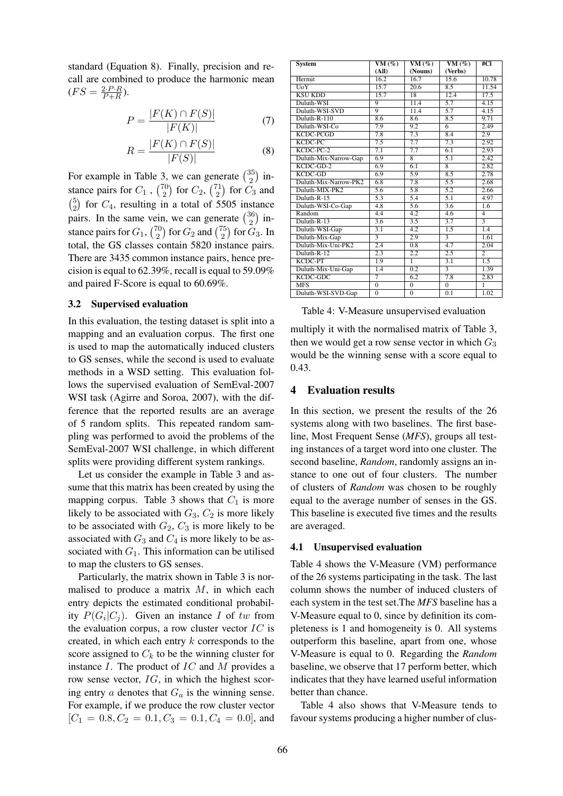standard (Equation 8). Finally, precision and recall are combined to produce the harmonic mean  $(FS = \frac{2 \cdot P \cdot R}{P + R}).$ 

$$
P = \frac{|F(K) \cap F(S)|}{|F(K)|} \tag{7}
$$

$$
R = \frac{|F(K) \cap F(S)|}{|F(S)|} \tag{8}
$$

For example in Table 3, we can generate  $\binom{35}{2}$  $_{2}^{35}$ ) instance pairs for  $C_1$ ,  $\binom{70}{2}$  $\binom{70}{2}$  for  $C_2$ ,  $\binom{71}{2}$  $\binom{71}{2}$  for  $C_3$  and  $\binom{5}{5}$  $^{5}_{2}$ ) for  $C_4$ , resulting in a total of 5505 instance pairs. In the same vein, we can generate  $\binom{36}{2}$  $_{2}^{36}$ ) instance pairs for  $G_1$ ,  $\binom{70}{2}$  $_{2}^{70})$  for  $G_{2}$  and  $\binom{75}{2}$  $\binom{75}{2}$  for  $G_3$ . In total, the GS classes contain 5820 instance pairs. There are 3435 common instance pairs, hence precision is equal to 62.39%, recall is equal to 59.09% and paired F-Score is equal to 60.69%.

# 3.2 Supervised evaluation

In this evaluation, the testing dataset is split into a mapping and an evaluation corpus. The first one is used to map the automatically induced clusters to GS senses, while the second is used to evaluate methods in a WSD setting. This evaluation follows the supervised evaluation of SemEval-2007 WSI task (Agirre and Soroa, 2007), with the difference that the reported results are an average of 5 random splits. This repeated random sampling was performed to avoid the problems of the SemEval-2007 WSI challenge, in which different splits were providing different system rankings.

Let us consider the example in Table 3 and assume that this matrix has been created by using the mapping corpus. Table 3 shows that  $C_1$  is more likely to be associated with  $G_3, C_2$  is more likely to be associated with  $G_2, G_3$  is more likely to be associated with  $G_3$  and  $C_4$  is more likely to be associated with  $G_1$ . This information can be utilised to map the clusters to GS senses.

Particularly, the matrix shown in Table 3 is normalised to produce a matrix  $M$ , in which each entry depicts the estimated conditional probability  $P(G_i|C_j)$ . Given an instance I of tw from the evaluation corpus, a row cluster vector  $IC$  is created, in which each entry k corresponds to the score assigned to  $C_k$  to be the winning cluster for instance  $I$ . The product of  $IC$  and  $M$  provides a row sense vector, IG, in which the highest scoring entry  $a$  denotes that  $G_a$  is the winning sense. For example, if we produce the row cluster vector  $[C_1 = 0.8, C_2 = 0.1, C_3 = 0.1, C_4 = 0.0]$ , and

| System                | $VM(\%)$       | VM $(\% )$       | VM $(\%)$        | #Cl                     |
|-----------------------|----------------|------------------|------------------|-------------------------|
|                       | (AII)          | (Nouns)          | (Verbs)          |                         |
| Hermit                | 16.2           | 16.7             | 15.6             | 10.78                   |
| UoY                   | 15.7           | 20.6             | 8.5              | 11.54                   |
| <b>KSU KDD</b>        | 15.7           | 18               | 12.4             | 17.5                    |
| Duluth-WSI            | 9              | 11.4             | 5.7              | 4.15                    |
| Duluth-WSI-SVD        | $\overline{q}$ | 11.4             | 5.7              | 4.15                    |
| Duluth-R-110          | 8.6            | 8.6              | 8.5              | 9.71                    |
| Duluth-WSI-Co         | 7.9            | 9.2              | 6                | 2.49                    |
| <b>KCDC-PCGD</b>      | 7.8            | 7.3              | 8.4              | 2.9                     |
| KCDC-PC               | 7.5            | 7.7              | 7.3              | 2.92                    |
| $KCDC-PC-2$           | 7.1            | 7.7              | 6.1              | 2.93                    |
| Duluth-Mix-Narrow-Gap | 6.9            | $\overline{8}$   | 5.1              | 2.42                    |
| $KCDC$ -GD-2          | 6.9            | 6.1              | $\overline{8}$   | 2.82                    |
| <b>KCDC-GD</b>        | 6.9            | 5.9              | 8.5              | 2.78                    |
| Duluth-Mix-Narrow-PK2 | 6.8            | 7.8              | 5.5              | 2.68                    |
| Duluth-MIX-PK2        | 5.6            | 5.8              | 5.2              | 2.66                    |
| Duluth-R-15           | 5.3            | 5.4              | 5.1              | 4.97                    |
| Duluth-WSI-Co-Gap     | 4.8            | 5.6              | 3.6              | 1.6                     |
| Random                | 4.4            | $\overline{4.2}$ | 4.6              | $\overline{4}$          |
| Duluth-R-13           | 3.6            | 3.5              | 3.7              | $\overline{\mathbf{3}}$ |
| Duluth-WSI-Gap        | 3.1            | 4.2              | 1.5              | 1.4                     |
| Duluth-Mix-Gap        |                | 2.9              | $\overline{3}$   | 1.61                    |
| Duluth-Mix-Uni-PK2    | 2.4            | 0.8              | 4.7              | 2.04                    |
| Duluth-R-12           | 2.3            | 2.2              | 2.5              | $\overline{c}$          |
| KCDC-PT               | 1.9            | ī                | $\overline{3.1}$ | $\overline{1.5}$        |
| Duluth-Mix-Uni-Gap    | 1.4            | 0.2              | $\overline{3}$   | 1.39                    |
| KCDC-GDC              | 7              | 6.2              | 7.8              | 2.83                    |
| <b>MFS</b>            | $\overline{0}$ | $\mathbf{0}$     | $\overline{0}$   | ī                       |
| Duluth-WSI-SVD-Gap    | $\Omega$       | $\Omega$         | 0.1              | 1.02                    |

Table 4: V-Measure unsupervised evaluation

multiply it with the normalised matrix of Table 3, then we would get a row sense vector in which  $G_3$ would be the winning sense with a score equal to 0.43.

### 4 Evaluation results

In this section, we present the results of the 26 systems along with two baselines. The first baseline, Most Frequent Sense (*MFS*), groups all testing instances of a target word into one cluster. The second baseline, *Random*, randomly assigns an instance to one out of four clusters. The number of clusters of *Random* was chosen to be roughly equal to the average number of senses in the GS. This baseline is executed five times and the results are averaged.

### 4.1 Unsupervised evaluation

Table 4 shows the V-Measure (VM) performance of the 26 systems participating in the task. The last column shows the number of induced clusters of each system in the test set.The *MFS* baseline has a V-Measure equal to 0, since by definition its completeness is 1 and homogeneity is 0. All systems outperform this baseline, apart from one, whose V-Measure is equal to 0. Regarding the *Random* baseline, we observe that 17 perform better, which indicates that they have learned useful information better than chance.

Table 4 also shows that V-Measure tends to favour systems producing a higher number of clus-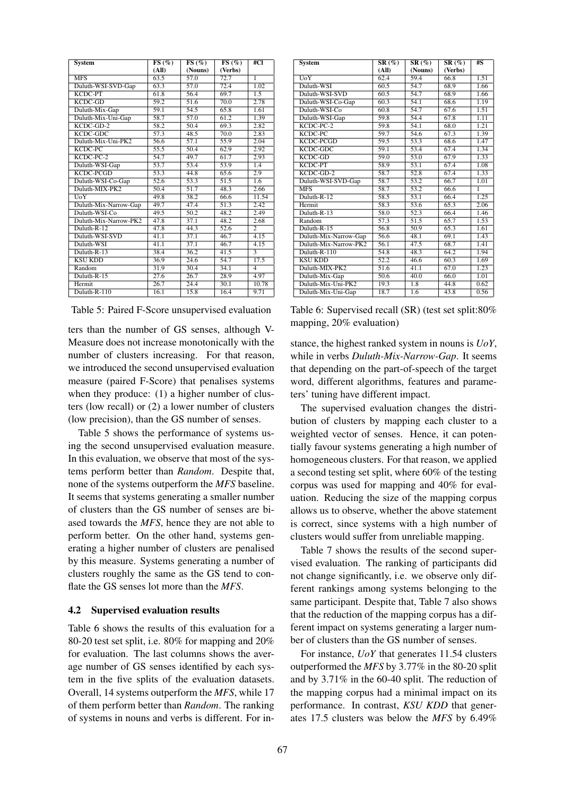| <b>System</b>         | FS(%)             | FS(%)             | FS(%)             | #Cl            |
|-----------------------|-------------------|-------------------|-------------------|----------------|
|                       | (AII)             | (Nouns)           | (Verbs)           |                |
| <b>MFS</b>            | 63.5              | 57.0              | 72.7              | $\overline{1}$ |
| Duluth-WSI-SVD-Gap    | 63.3              | $\overline{57.0}$ | $\overline{72.4}$ | 1.02           |
| KCDC-PT               | 61.8              | 56.4              | 69.7              | 1.5            |
| $KCDC$ -GD            | 59.2              | 51.6              | 70.0              | 2.78           |
| Duluth-Mix-Gap        | $\overline{59.1}$ | 54.5              | 65.8              | 1.61           |
| Duluth-Mix-Uni-Gap    | 58.7              | 57.0              | 61.2              | 1.39           |
| $KCDC$ -GD-2          | 58.2              | 50.4              | 69.3              | 2.82           |
| <b>KCDC-GDC</b>       | $\overline{57.3}$ | 48.5              | 70.0              | 2.83           |
| Duluth-Mix-Uni-PK2    | 56.6              | 57.1              | $\overline{55.9}$ | 2.04           |
| KCDC-PC               | $\overline{55.5}$ | 50.4              | 62.9              | 2.92           |
| KCDC-PC-2             | 54.7              | 49.7              | 61.7              | 2.93           |
| Duluth-WSI-Gap        | 53.7              | 53.4              | 53.9              | 1.4            |
| KCDC-PCGD             | 53.3              | 44.8              | 65.6              | 2.9            |
| Duluth-WSI-Co-Gap     | 52.6              | 53.3              | 51.5              | 1.6            |
| Duluth-MIX-PK2        | 50.4              | $\overline{51.7}$ | 48.3              | 2.66           |
| UoY                   | 49.8              | 38.2              | 66.6              | 11.54          |
| Duluth-Mix-Narrow-Gap | 49.7              | 47.4              | 51.3              | 2.42           |
| Duluth-WSI-Co         | 49.5              | 50.2              | 48.2              | 2.49           |
| Duluth-Mix-Narrow-PK2 | 47.8              | 37.1              | 48.2              | 2.68           |
| Duluth-R-12           | 47.8              | 44.3              | 52.6              | $\overline{2}$ |
| Duluth-WSI-SVD        | 41.1              | 37.1              | 46.7              | 4.15           |
| Duluth-WSI            | 41.1              | 37.1              | 46.7              | 4.15           |
| Duluth-R-13           | 38.4              | $\overline{36.2}$ | 41.5              |                |
| <b>KSU KDD</b>        | 36.9              | 24.6              | 54.7              | 17.5           |
| Random                | 31.9              | 30.4              | 34.1              | $\overline{4}$ |
| Duluth-R-15           | $\overline{27.6}$ | $\overline{26.7}$ | 28.9              | 4.97           |
| Hermit                | 26.7              | 24.4              | 30.1              | 10.78          |
| Duluth-R-110          | 16.1              | 15.8              | 16.4              | 9.71           |

Table 5: Paired F-Score unsupervised evaluation

ters than the number of GS senses, although V-Measure does not increase monotonically with the number of clusters increasing. For that reason, we introduced the second unsupervised evaluation measure (paired F-Score) that penalises systems when they produce: (1) a higher number of clusters (low recall) or (2) a lower number of clusters (low precision), than the GS number of senses.

Table 5 shows the performance of systems using the second unsupervised evaluation measure. In this evaluation, we observe that most of the systems perform better than *Random*. Despite that, none of the systems outperform the *MFS* baseline. It seems that systems generating a smaller number of clusters than the GS number of senses are biased towards the *MFS*, hence they are not able to perform better. On the other hand, systems generating a higher number of clusters are penalised by this measure. Systems generating a number of clusters roughly the same as the GS tend to conflate the GS senses lot more than the *MFS*.

# 4.2 Supervised evaluation results

Table 6 shows the results of this evaluation for a 80-20 test set split, i.e. 80% for mapping and 20% for evaluation. The last columns shows the average number of GS senses identified by each system in the five splits of the evaluation datasets. Overall, 14 systems outperform the *MFS*, while 17 of them perform better than *Random*. The ranking of systems in nouns and verbs is different. For in-

| <b>System</b>         | $SR(\%)$          | $SR(\%)$          | $SR(\%)$ | #S   |
|-----------------------|-------------------|-------------------|----------|------|
|                       | (AII)             | (Nouns)           | (Verbs)  |      |
| UoY                   | 62.4              | 59.4              | 66.8     | 1.51 |
| Duluth-WSI            | 60.5              | 54.7              | 68.9     | 1.66 |
| Duluth-WSI-SVD        | 60.5              | 54.7              | 68.9     | 1.66 |
| Duluth-WSI-Co-Gap     | 60.3              | 54.1              | 68.6     | 1.19 |
| Duluth-WSI-Co         | 60.8              | 54.7              | 67.6     | 1.51 |
| Duluth-WSI-Gap        | 59.8              | 54.4              | 67.8     | 1.11 |
| KCDC-PC-2             | 59.8              | 54.1              | 68.0     | 1.21 |
| KCDC-PC               | 59.7              | 54.6              | 67.3     | 1.39 |
| <b>KCDC-PCGD</b>      | 59.5              | 53.3              | 68.6     | 1.47 |
| KCDC-GDC              | 59.1              | 53.4              | 67.4     | 1.34 |
| <b>KCDC-GD</b>        | 59.0              | 53.0              | 67.9     | 1.33 |
| KCDC-PT               | 58.9              | 53.1              | 67.4     | 1.08 |
| $KCDC$ -GD-2          | 58.7              | 52.8              | 67.4     | 1.33 |
| Duluth-WSI-SVD-Gap    | 58.7              | $\overline{53.2}$ | 66.7     | 1.01 |
| <b>MFS</b>            | 58.7              | 53.2              | 66.6     | 1    |
| Duluth-R-12           | 58.5              | 53.1              | 66.4     | 1.25 |
| Hermit                | 58.3              | 53.6              | 65.3     | 2.06 |
| Duluth-R-13           | 58.0              | $\overline{52.3}$ | 66.4     | 1.46 |
| Random                | 57.3              | 51.5              | 65.7     | 1.53 |
| Duluth-R-15           | 56.8              | 50.9              | 65.3     | 1.61 |
| Duluth-Mix-Narrow-Gap | 56.6              | 48.1              | 69.1     | 1.43 |
| Duluth-Mix-Narrow-PK2 | 56.1              | 47.5              | 68.7     | 1.41 |
| Duluth-R-110          | 54.8              | 48.3              | 64.2     | 1.94 |
| <b>KSU KDD</b>        | $\overline{52.2}$ | 46.6              | 60.3     | 1.69 |
| Duluth-MIX-PK2        | 51.6              | 41.1              | 67.0     | 1.23 |
| Duluth-Mix-Gap        | 50.6              | 40.0              | 66.0     | 1.01 |
| Duluth-Mix-Uni-PK2    | 19.3              | 1.8               | 44.8     | 0.62 |
| Duluth-Mix-Uni-Gap    | 18.7              | 1.6               | 43.8     | 0.56 |

Table 6: Supervised recall (SR) (test set split:80% mapping, 20% evaluation)

stance, the highest ranked system in nouns is *UoY*, while in verbs *Duluth-Mix-Narrow-Gap*. It seems that depending on the part-of-speech of the target word, different algorithms, features and parameters' tuning have different impact.

The supervised evaluation changes the distribution of clusters by mapping each cluster to a weighted vector of senses. Hence, it can potentially favour systems generating a high number of homogeneous clusters. For that reason, we applied a second testing set split, where 60% of the testing corpus was used for mapping and 40% for evaluation. Reducing the size of the mapping corpus allows us to observe, whether the above statement is correct, since systems with a high number of clusters would suffer from unreliable mapping.

Table 7 shows the results of the second supervised evaluation. The ranking of participants did not change significantly, i.e. we observe only different rankings among systems belonging to the same participant. Despite that, Table 7 also shows that the reduction of the mapping corpus has a different impact on systems generating a larger number of clusters than the GS number of senses.

For instance, *UoY* that generates 11.54 clusters outperformed the *MFS* by 3.77% in the 80-20 split and by 3.71% in the 60-40 split. The reduction of the mapping corpus had a minimal impact on its performance. In contrast, *KSU KDD* that generates 17.5 clusters was below the *MFS* by 6.49%